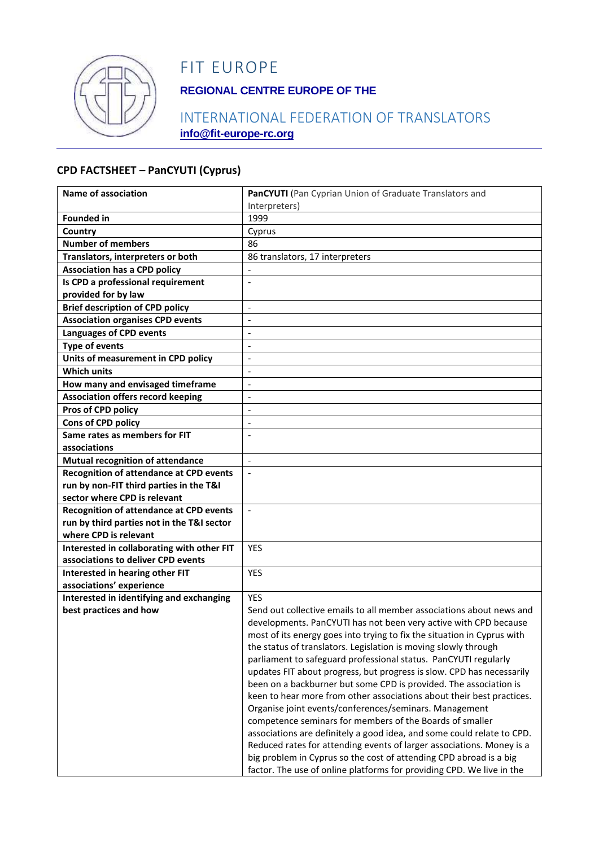

# FIT EUROPE

## **REGIONAL CENTRE EUROPE OF THE**

### INTERNATIONAL FEDERATION OF TRANSLATORS **info@fit-europe-rc.org**

#### **CPD FACTSHEET – PanCYUTI (Cyprus)**

| Name of association                                                  | PanCYUTI (Pan Cyprian Union of Graduate Translators and                                                                                  |
|----------------------------------------------------------------------|------------------------------------------------------------------------------------------------------------------------------------------|
|                                                                      | Interpreters)                                                                                                                            |
| <b>Founded in</b>                                                    | 1999                                                                                                                                     |
| Country                                                              | Cyprus                                                                                                                                   |
| <b>Number of members</b>                                             | 86                                                                                                                                       |
| Translators, interpreters or both                                    | 86 translators, 17 interpreters                                                                                                          |
| <b>Association has a CPD policy</b>                                  |                                                                                                                                          |
| Is CPD a professional requirement                                    | $\overline{\phantom{a}}$                                                                                                                 |
| provided for by law                                                  |                                                                                                                                          |
| <b>Brief description of CPD policy</b>                               | $\overline{a}$                                                                                                                           |
| <b>Association organises CPD events</b>                              | $\overline{a}$                                                                                                                           |
| <b>Languages of CPD events</b>                                       | $\overline{a}$                                                                                                                           |
| <b>Type of events</b>                                                | $\overline{\phantom{a}}$                                                                                                                 |
| Units of measurement in CPD policy                                   | $\overline{a}$                                                                                                                           |
| <b>Which units</b>                                                   | $\overline{a}$                                                                                                                           |
| How many and envisaged timeframe                                     |                                                                                                                                          |
| <b>Association offers record keeping</b>                             | $\overline{\phantom{a}}$                                                                                                                 |
| Pros of CPD policy                                                   | $\overline{a}$                                                                                                                           |
| Cons of CPD policy                                                   | $\overline{a}$                                                                                                                           |
| Same rates as members for FIT                                        |                                                                                                                                          |
| associations                                                         |                                                                                                                                          |
| <b>Mutual recognition of attendance</b>                              | $\overline{\phantom{a}}$                                                                                                                 |
| <b>Recognition of attendance at CPD events</b>                       | $\overline{a}$                                                                                                                           |
| run by non-FIT third parties in the T&I                              |                                                                                                                                          |
| sector where CPD is relevant                                         |                                                                                                                                          |
| <b>Recognition of attendance at CPD events</b>                       | $\blacksquare$                                                                                                                           |
| run by third parties not in the T&I sector                           |                                                                                                                                          |
| where CPD is relevant                                                |                                                                                                                                          |
| Interested in collaborating with other FIT                           | <b>YES</b>                                                                                                                               |
| associations to deliver CPD events                                   |                                                                                                                                          |
| Interested in hearing other FIT                                      | <b>YES</b>                                                                                                                               |
| associations' experience<br>Interested in identifying and exchanging | <b>YES</b>                                                                                                                               |
|                                                                      |                                                                                                                                          |
| best practices and how                                               | Send out collective emails to all member associations about news and<br>developments. PanCYUTI has not been very active with CPD because |
|                                                                      |                                                                                                                                          |
|                                                                      | most of its energy goes into trying to fix the situation in Cyprus with                                                                  |
|                                                                      | the status of translators. Legislation is moving slowly through                                                                          |
|                                                                      | parliament to safeguard professional status. PanCYUTI regularly<br>updates FIT about progress, but progress is slow. CPD has necessarily |
|                                                                      | been on a backburner but some CPD is provided. The association is                                                                        |
|                                                                      | keen to hear more from other associations about their best practices.                                                                    |
|                                                                      | Organise joint events/conferences/seminars. Management                                                                                   |
|                                                                      | competence seminars for members of the Boards of smaller                                                                                 |
|                                                                      | associations are definitely a good idea, and some could relate to CPD.                                                                   |
|                                                                      | Reduced rates for attending events of larger associations. Money is a                                                                    |
|                                                                      | big problem in Cyprus so the cost of attending CPD abroad is a big                                                                       |
|                                                                      | factor. The use of online platforms for providing CPD. We live in the                                                                    |